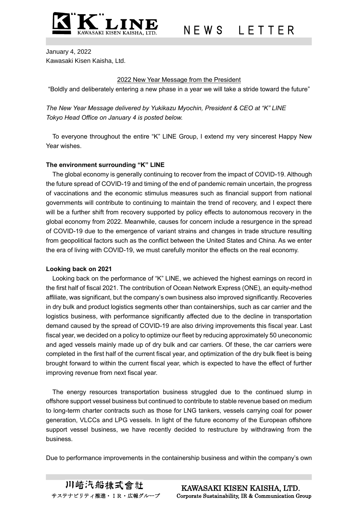

January 4, 2022 Kawasaki Kisen Kaisha, Ltd.

## 2022 New Year Message from the President

"Boldly and deliberately entering a new phase in a year we will take a stride toward the future"

*The New Year Message delivered by Yukikazu Myochin, President & CEO at "K" LINE Tokyo Head Office on January 4 is posted below.*

To everyone throughout the entire "K" LINE Group, I extend my very sincerest Happy New Year wishes.

## **The environment surrounding "K" LINE**

The global economy is generally continuing to recover from the impact of COVID-19. Although the future spread of COVID-19 and timing of the end of pandemic remain uncertain, the progress of vaccinations and the economic stimulus measures such as financial support from national governments will contribute to continuing to maintain the trend of recovery, and I expect there will be a further shift from recovery supported by policy effects to autonomous recovery in the global economy from 2022. Meanwhile, causes for concern include a resurgence in the spread of COVID-19 due to the emergence of variant strains and changes in trade structure resulting from geopolitical factors such as the conflict between the United States and China. As we enter the era of living with COVID-19, we must carefully monitor the effects on the real economy.

### **Looking back on 2021**

Looking back on the performance of "K" LINE, we achieved the highest earnings on record in the first half of fiscal 2021. The contribution of Ocean Network Express (ONE), an equity-method affiliate, was significant, but the company's own business also improved significantly. Recoveries in dry bulk and product logistics segments other than containerships, such as car carrier and the logistics business, with performance significantly affected due to the decline in transportation demand caused by the spread of COVID-19 are also driving improvements this fiscal year. Last fiscal year, we decided on a policy to optimize our fleet by reducing approximately 50 uneconomic and aged vessels mainly made up of dry bulk and car carriers. Of these, the car carriers were completed in the first half of the current fiscal year, and optimization of the dry bulk fleet is being brought forward to within the current fiscal year, which is expected to have the effect of further improving revenue from next fiscal year.

The energy resources transportation business struggled due to the continued slump in offshore support vessel business but continued to contribute to stable revenue based on medium to long-term charter contracts such as those for LNG tankers, vessels carrying coal for power generation, VLCCs and LPG vessels. In light of the future economy of the European offshore support vessel business, we have recently decided to restructure by withdrawing from the business.

Due to performance improvements in the containership business and within the company's own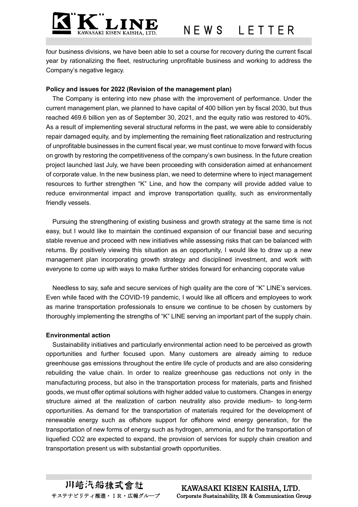

four business divisions, we have been able to set a course for recovery during the current fiscal year by rationalizing the fleet, restructuring unprofitable business and working to address the Company's negative legacy.

#### **Policy and issues for 2022 (Revision of the management plan)**

The Company is entering into new phase with the improvement of performance. Under the current management plan, we planned to have capital of 400 billion yen by fiscal 2030, but thus reached 469.6 billion yen as of September 30, 2021, and the equity ratio was restored to 40%. As a result of implementing several structural reforms in the past, we were able to considerably repair damaged equity, and by implementing the remaining fleet rationalization and restructuring of unprofitable businesses in the current fiscal year, we must continue to move forward with focus on growth by restoring the competitiveness of the company's own business. In the future creation project launched last July, we have been proceeding with consideration aimed at enhancement of corporate value. In the new business plan, we need to determine where to inject management resources to further strengthen "K" Line, and how the company will provide added value to reduce environmental impact and improve transportation quality, such as environmentally friendly vessels.

Pursuing the strengthening of existing business and growth strategy at the same time is not easy, but I would like to maintain the continued expansion of our financial base and securing stable revenue and proceed with new initiatives while assessing risks that can be balanced with returns. By positively viewing this situation as an opportunity, I would like to draw up a new management plan incorporating growth strategy and disciplined investment, and work with everyone to come up with ways to make further strides forward for enhancing coporate value

Needless to say, safe and secure services of high quality are the core of "K" LINE's services. Even while faced with the COVID-19 pandemic, I would like all officers and employees to work as marine transportation professionals to ensure we continue to be chosen by customers by thoroughly implementing the strengths of "K" LINE serving an important part of the supply chain.

#### **Environmental action**

Sustainability initiatives and particularly environmental action need to be perceived as growth opportunities and further focused upon. Many customers are already aiming to reduce greenhouse gas emissions throughout the entire life cycle of products and are also considering rebuilding the value chain. In order to realize greenhouse gas reductions not only in the manufacturing process, but also in the transportation process for materials, parts and finished goods, we must offer optimal solutions with higher added value to customers. Changes in energy structure aimed at the realization of carbon neutrality also provide medium- to long-term opportunities. As demand for the transportation of materials required for the development of renewable energy such as offshore support for offshore wind energy generation, for the transportation of new forms of energy such as hydrogen, ammonia, and for the transportation of liquefied CO2 are expected to expand, the provision of services for supply chain creation and transportation present us with substantial growth opportunities.